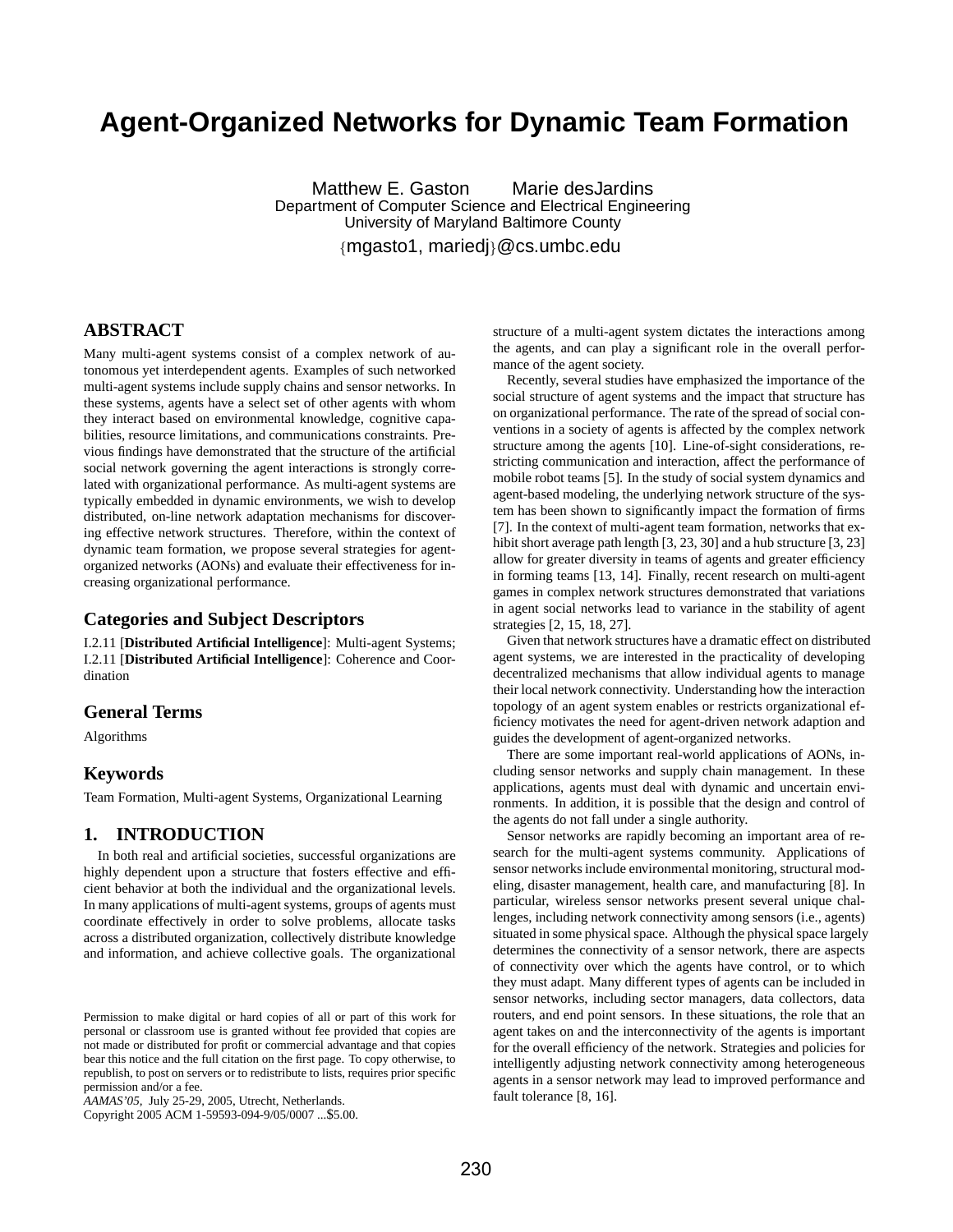# **Agent-Organized Networks for Dynamic Team Formation**

Matthew E. Gaston Marie desJardins Department of Computer Science and Electrical Engineering University of Maryland Baltimore County

{mgasto1, mariedj}@cs.umbc.edu

# **ABSTRACT**

Many multi-agent systems consist of a complex network of autonomous yet interdependent agents. Examples of such networked multi-agent systems include supply chains and sensor networks. In these systems, agents have a select set of other agents with whom they interact based on environmental knowledge, cognitive capabilities, resource limitations, and communications constraints. Previous findings have demonstrated that the structure of the artificial social network governing the agent interactions is strongly correlated with organizational performance. As multi-agent systems are typically embedded in dynamic environments, we wish to develop distributed, on-line network adaptation mechanisms for discovering effective network structures. Therefore, within the context of dynamic team formation, we propose several strategies for agentorganized networks (AONs) and evaluate their effectiveness for increasing organizational performance.

# **Categories and Subject Descriptors**

I.2.11 [**Distributed Artificial Intelligence**]: Multi-agent Systems; I.2.11 [**Distributed Artificial Intelligence**]: Coherence and Coordination

## **General Terms**

Algorithms

#### **Keywords**

Team Formation, Multi-agent Systems, Organizational Learning

# **1. INTRODUCTION**

In both real and artificial societies, successful organizations are highly dependent upon a structure that fosters effective and efficient behavior at both the individual and the organizational levels. In many applications of multi-agent systems, groups of agents must coordinate effectively in order to solve problems, allocate tasks across a distributed organization, collectively distribute knowledge and information, and achieve collective goals. The organizational

Copyright 2005 ACM 1-59593-094-9/05/0007 ...\$5.00.

structure of a multi-agent system dictates the interactions among the agents, and can play a significant role in the overall performance of the agent society.

Recently, several studies have emphasized the importance of the social structure of agent systems and the impact that structure has on organizational performance. The rate of the spread of social conventions in a society of agents is affected by the complex network structure among the agents [10]. Line-of-sight considerations, restricting communication and interaction, affect the performance of mobile robot teams [5]. In the study of social system dynamics and agent-based modeling, the underlying network structure of the system has been shown to significantly impact the formation of firms [7]. In the context of multi-agent team formation, networks that exhibit short average path length [3, 23, 30] and a hub structure [3, 23] allow for greater diversity in teams of agents and greater efficiency in forming teams [13, 14]. Finally, recent research on multi-agent games in complex network structures demonstrated that variations in agent social networks lead to variance in the stability of agent strategies [2, 15, 18, 27].

Given that network structures have a dramatic effect on distributed agent systems, we are interested in the practicality of developing decentralized mechanisms that allow individual agents to manage their local network connectivity. Understanding how the interaction topology of an agent system enables or restricts organizational efficiency motivates the need for agent-driven network adaption and guides the development of agent-organized networks.

There are some important real-world applications of AONs, including sensor networks and supply chain management. In these applications, agents must deal with dynamic and uncertain environments. In addition, it is possible that the design and control of the agents do not fall under a single authority.

Sensor networks are rapidly becoming an important area of research for the multi-agent systems community. Applications of sensor networks include environmental monitoring, structural modeling, disaster management, health care, and manufacturing [8]. In particular, wireless sensor networks present several unique challenges, including network connectivity among sensors (i.e., agents) situated in some physical space. Although the physical space largely determines the connectivity of a sensor network, there are aspects of connectivity over which the agents have control, or to which they must adapt. Many different types of agents can be included in sensor networks, including sector managers, data collectors, data routers, and end point sensors. In these situations, the role that an agent takes on and the interconnectivity of the agents is important for the overall efficiency of the network. Strategies and policies for intelligently adjusting network connectivity among heterogeneous agents in a sensor network may lead to improved performance and fault tolerance [8, 16].

Permission to make digital or hard copies of all or part of this work for personal or classroom use is granted without fee provided that copies are not made or distributed for profit or commercial advantage and that copies bear this notice and the full citation on the first page. To copy otherwise, to republish, to post on servers or to redistribute to lists, requires prior specific permission and/or a fee.

*AAMAS'05,* July 25-29, 2005, Utrecht, Netherlands.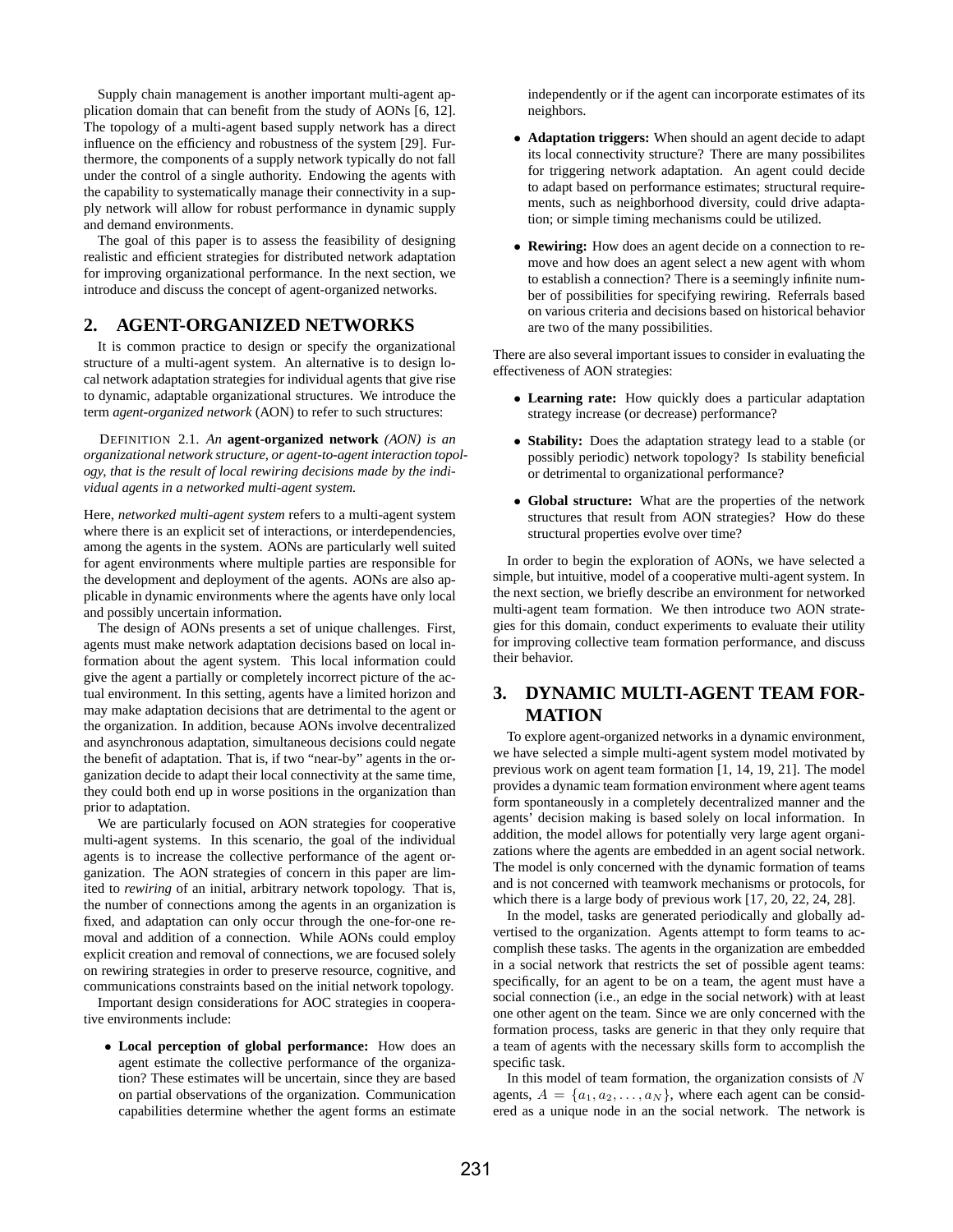Supply chain management is another important multi-agent application domain that can benefit from the study of AONs [6, 12]. The topology of a multi-agent based supply network has a direct influence on the efficiency and robustness of the system [29]. Furthermore, the components of a supply network typically do not fall under the control of a single authority. Endowing the agents with the capability to systematically manage their connectivity in a supply network will allow for robust performance in dynamic supply and demand environments.

The goal of this paper is to assess the feasibility of designing realistic and efficient strategies for distributed network adaptation for improving organizational performance. In the next section, we introduce and discuss the concept of agent-organized networks.

# **2. AGENT-ORGANIZED NETWORKS**

It is common practice to design or specify the organizational structure of a multi-agent system. An alternative is to design local network adaptation strategies for individual agents that give rise to dynamic, adaptable organizational structures. We introduce the term *agent-organized network* (AON) to refer to such structures:

DEFINITION 2.1. *An* **agent-organized network** *(AON) is an organizational network structure, or agent-to-agent interaction topology, that is the result of local rewiring decisions made by the individual agents in a networked multi-agent system.*

Here, *networked multi-agent system* refers to a multi-agent system where there is an explicit set of interactions, or interdependencies, among the agents in the system. AONs are particularly well suited for agent environments where multiple parties are responsible for the development and deployment of the agents. AONs are also applicable in dynamic environments where the agents have only local and possibly uncertain information.

The design of AONs presents a set of unique challenges. First, agents must make network adaptation decisions based on local information about the agent system. This local information could give the agent a partially or completely incorrect picture of the actual environment. In this setting, agents have a limited horizon and may make adaptation decisions that are detrimental to the agent or the organization. In addition, because AONs involve decentralized and asynchronous adaptation, simultaneous decisions could negate the benefit of adaptation. That is, if two "near-by" agents in the organization decide to adapt their local connectivity at the same time, they could both end up in worse positions in the organization than prior to adaptation.

We are particularly focused on AON strategies for cooperative multi-agent systems. In this scenario, the goal of the individual agents is to increase the collective performance of the agent organization. The AON strategies of concern in this paper are limited to *rewiring* of an initial, arbitrary network topology. That is, the number of connections among the agents in an organization is fixed, and adaptation can only occur through the one-for-one removal and addition of a connection. While AONs could employ explicit creation and removal of connections, we are focused solely on rewiring strategies in order to preserve resource, cognitive, and communications constraints based on the initial network topology.

Important design considerations for AOC strategies in cooperative environments include:

• **Local perception of global performance:** How does an agent estimate the collective performance of the organization? These estimates will be uncertain, since they are based on partial observations of the organization. Communication capabilities determine whether the agent forms an estimate independently or if the agent can incorporate estimates of its neighbors.

- **Adaptation triggers:** When should an agent decide to adapt its local connectivity structure? There are many possibilites for triggering network adaptation. An agent could decide to adapt based on performance estimates; structural requirements, such as neighborhood diversity, could drive adaptation; or simple timing mechanisms could be utilized.
- **Rewiring:** How does an agent decide on a connection to remove and how does an agent select a new agent with whom to establish a connection? There is a seemingly infinite number of possibilities for specifying rewiring. Referrals based on various criteria and decisions based on historical behavior are two of the many possibilities.

There are also several important issues to consider in evaluating the effectiveness of AON strategies:

- **Learning rate:** How quickly does a particular adaptation strategy increase (or decrease) performance?
- **Stability:** Does the adaptation strategy lead to a stable (or possibly periodic) network topology? Is stability beneficial or detrimental to organizational performance?
- **Global structure:** What are the properties of the network structures that result from AON strategies? How do these structural properties evolve over time?

In order to begin the exploration of AONs, we have selected a simple, but intuitive, model of a cooperative multi-agent system. In the next section, we briefly describe an environment for networked multi-agent team formation. We then introduce two AON strategies for this domain, conduct experiments to evaluate their utility for improving collective team formation performance, and discuss their behavior.

# **3. DYNAMIC MULTI-AGENT TEAM FOR-MATION**

To explore agent-organized networks in a dynamic environment, we have selected a simple multi-agent system model motivated by previous work on agent team formation [1, 14, 19, 21]. The model provides a dynamic team formation environment where agent teams form spontaneously in a completely decentralized manner and the agents' decision making is based solely on local information. In addition, the model allows for potentially very large agent organizations where the agents are embedded in an agent social network. The model is only concerned with the dynamic formation of teams and is not concerned with teamwork mechanisms or protocols, for which there is a large body of previous work [17, 20, 22, 24, 28].

In the model, tasks are generated periodically and globally advertised to the organization. Agents attempt to form teams to accomplish these tasks. The agents in the organization are embedded in a social network that restricts the set of possible agent teams: specifically, for an agent to be on a team, the agent must have a social connection (i.e., an edge in the social network) with at least one other agent on the team. Since we are only concerned with the formation process, tasks are generic in that they only require that a team of agents with the necessary skills form to accomplish the specific task.

In this model of team formation, the organization consists of  $N$ agents,  $A = \{a_1, a_2, \ldots, a_N\}$ , where each agent can be considered as a unique node in an the social network. The network is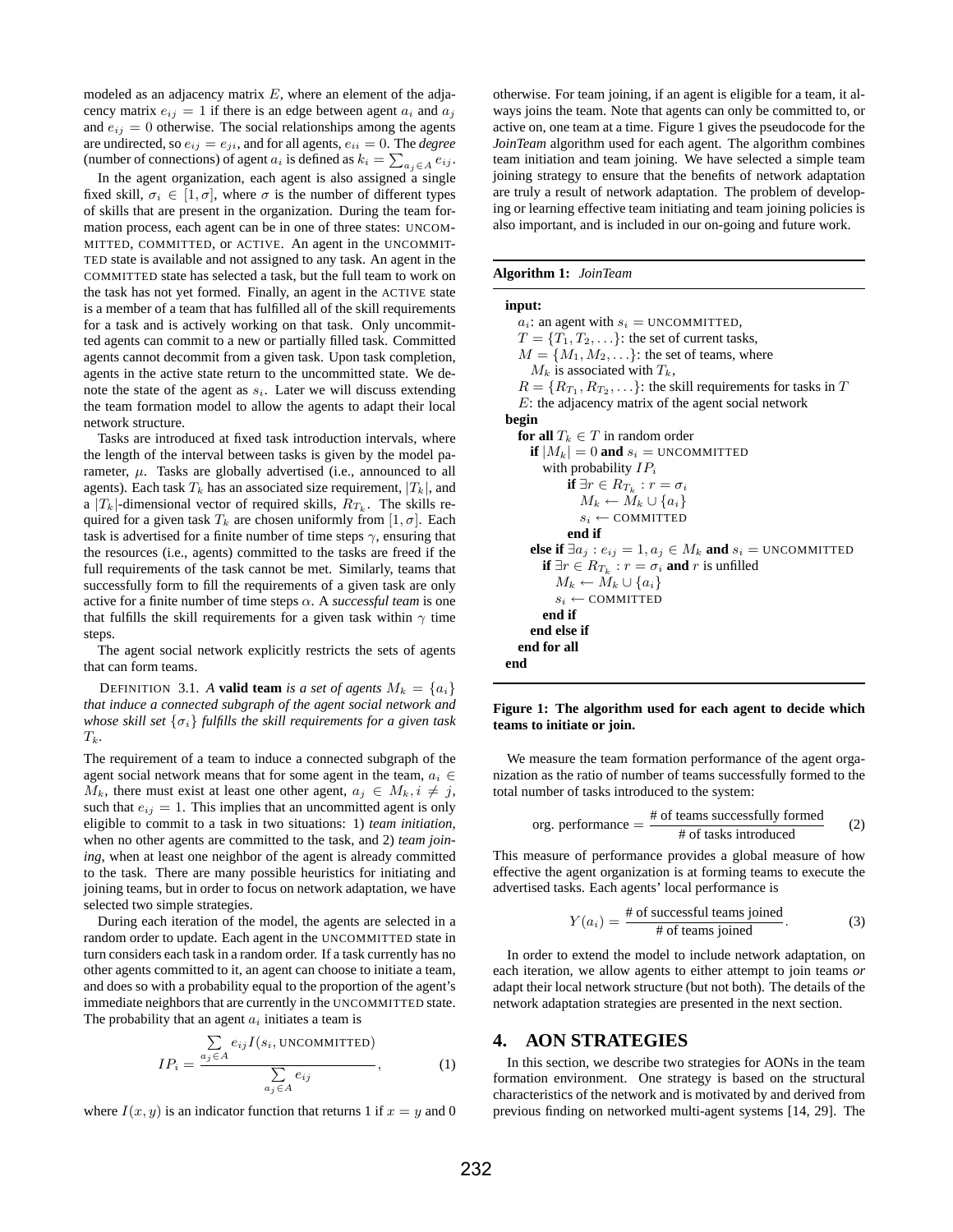modeled as an adjacency matrix  $E$ , where an element of the adjacency matrix  $e_{ij} = 1$  if there is an edge between agent  $a_i$  and  $a_j$ and  $e_{ij} = 0$  otherwise. The social relationships among the agents are undirected, so  $e_{ij} = e_{ji}$ , and for all agents,  $e_{ii} = 0$ . The *degree* (number of connections) of agent  $a_i$  is defined as  $k_i = \sum_{a_j \in A} e_{ij}$ .

In the agent organization, each agent is also assigned a single fixed skill,  $\sigma_i \in [1, \sigma]$ , where  $\sigma$  is the number of different types of skills that are present in the organization. During the team formation process, each agent can be in one of three states: UNCOM-MITTED, COMMITTED, or ACTIVE. An agent in the UNCOMMIT-TED state is available and not assigned to any task. An agent in the COMMITTED state has selected a task, but the full team to work on the task has not yet formed. Finally, an agent in the ACTIVE state is a member of a team that has fulfilled all of the skill requirements for a task and is actively working on that task. Only uncommitted agents can commit to a new or partially filled task. Committed agents cannot decommit from a given task. Upon task completion, agents in the active state return to the uncommitted state. We denote the state of the agent as  $s_i$ . Later we will discuss extending the team formation model to allow the agents to adapt their local network structure.

Tasks are introduced at fixed task introduction intervals, where the length of the interval between tasks is given by the model parameter,  $\mu$ . Tasks are globally advertised (i.e., announced to all agents). Each task  $T_k$  has an associated size requirement,  $|T_k|$ , and a | $T_k$ |-dimensional vector of required skills,  $R_{T_k}$ . The skills required for a given task  $T_k$  are chosen uniformly from  $[1, \sigma]$ . Each task is advertised for a finite number of time steps  $\gamma$ , ensuring that the resources (i.e., agents) committed to the tasks are freed if the full requirements of the task cannot be met. Similarly, teams that successfully form to fill the requirements of a given task are only active for a finite number of time steps  $\alpha$ . A *successful team* is one that fulfills the skill requirements for a given task within  $\gamma$  time steps.

The agent social network explicitly restricts the sets of agents that can form teams.

**DEFINITION** 3.1. A **valid team** is a set of agents  $M_k = \{a_i\}$ *that induce a connected subgraph of the agent social network and whose skill set*  $\{\sigma_i\}$  *fulfills the skill requirements for a given task*  $T_k$ .

The requirement of a team to induce a connected subgraph of the agent social network means that for some agent in the team,  $a_i \in$  $M_k$ , there must exist at least one other agent,  $a_i \in M_k$ ,  $i \neq j$ , such that  $e_{ij} = 1$ . This implies that an uncommitted agent is only eligible to commit to a task in two situations: 1) *team initiation*, when no other agents are committed to the task, and 2) *team joining*, when at least one neighbor of the agent is already committed to the task. There are many possible heuristics for initiating and joining teams, but in order to focus on network adaptation, we have selected two simple strategies.

During each iteration of the model, the agents are selected in a random order to update. Each agent in the UNCOMMITTED state in turn considers each task in a random order. If a task currently has no other agents committed to it, an agent can choose to initiate a team, and does so with a probability equal to the proportion of the agent's immediate neighbors that are currently in the UNCOMMITTED state. The probability that an agent  $a_i$  initiates a team is

$$
IP_i = \frac{\sum\limits_{a_j \in A} e_{ij} I(s_i, \text{UNCOMMITTED})}{\sum\limits_{a_j \in A} e_{ij}},
$$
 (1)

where  $I(x, y)$  is an indicator function that returns 1 if  $x = y$  and 0

otherwise. For team joining, if an agent is eligible for a team, it always joins the team. Note that agents can only be committed to, or active on, one team at a time. Figure 1 gives the pseudocode for the *JoinTeam* algorithm used for each agent. The algorithm combines team initiation and team joining. We have selected a simple team joining strategy to ensure that the benefits of network adaptation are truly a result of network adaptation. The problem of developing or learning effective team initiating and team joining policies is also important, and is included in our on-going and future work.

#### **Algorithm 1:** *JoinTeam*

**input:**  $a_i$ : an agent with  $s_i$  = UNCOMMITTED,  $T = \{T_1, T_2, \ldots\}$ : the set of current tasks,  $M = \{M_1, M_2, \ldots\}$ : the set of teams, where  $M_k$  is associated with  $T_k$ ,  $R = \{R_{T_1}, R_{T_2}, \ldots\}$ : the skill requirements for tasks in T E: the adjacency matrix of the agent social network **begin for all**  $T_k \in T$  in random order **if**  $|M_k| = 0$  **and**  $s_i =$  UNCOMMITTED with probability  $IP_i$  $\mathbf{if}\;\exists r\in R_{T_k}:r=\sigma_i$  $M_k \leftarrow M_k \cup \{a_i\}$  $s_i \leftarrow$  COMMITTED **end if else if**  $\exists a_i : e_{ij} = 1, a_j \in M_k$  **and**  $s_i$  = UNCOMMITTED **if**  $\exists r \in R_{T_k} : r = \sigma_i$  **and** r is unfilled  $M_k \leftarrow M_k \cup \{a_i\}$  $s_i \leftarrow \text{COMMITTED}$ **end if end else if end for all end**

#### **Figure 1: The algorithm used for each agent to decide which teams to initiate or join.**

We measure the team formation performance of the agent organization as the ratio of number of teams successfully formed to the total number of tasks introduced to the system:

$$
org. performance = \frac{\# of teams successfully formed}{\# of tasks introduced} \tag{2}
$$

This measure of performance provides a global measure of how effective the agent organization is at forming teams to execute the advertised tasks. Each agents' local performance is

$$
Y(a_i) = \frac{\text{\# of successful teams joined}}{\text{\# of teams joined}}.
$$
 (3)

In order to extend the model to include network adaptation, on each iteration, we allow agents to either attempt to join teams *or* adapt their local network structure (but not both). The details of the network adaptation strategies are presented in the next section.

#### **4. AON STRATEGIES**

In this section, we describe two strategies for AONs in the team formation environment. One strategy is based on the structural characteristics of the network and is motivated by and derived from previous finding on networked multi-agent systems [14, 29]. The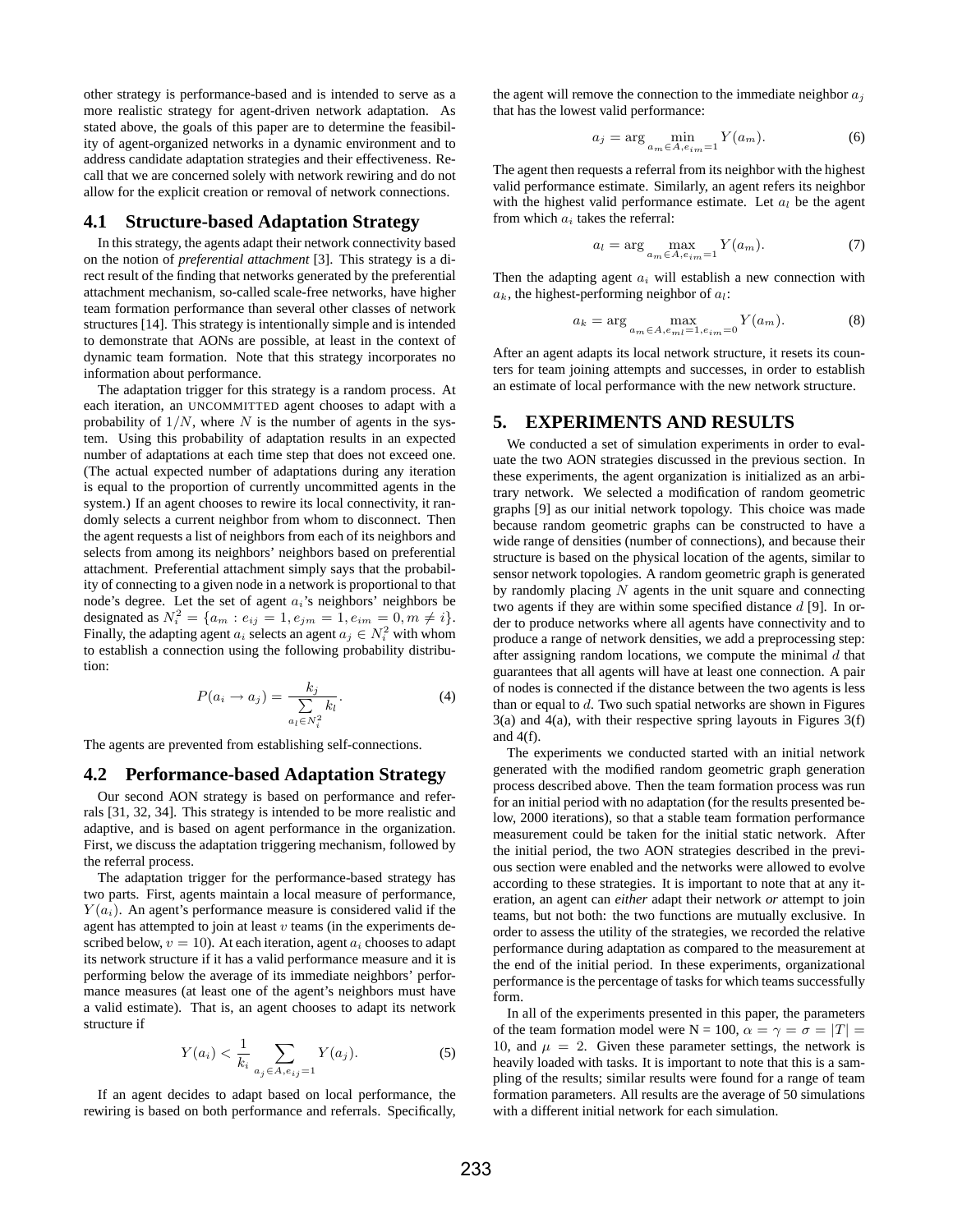other strategy is performance-based and is intended to serve as a more realistic strategy for agent-driven network adaptation. As stated above, the goals of this paper are to determine the feasibility of agent-organized networks in a dynamic environment and to address candidate adaptation strategies and their effectiveness. Recall that we are concerned solely with network rewiring and do not allow for the explicit creation or removal of network connections.

#### **4.1 Structure-based Adaptation Strategy**

In this strategy, the agents adapt their network connectivity based on the notion of *preferential attachment* [3]. This strategy is a direct result of the finding that networks generated by the preferential attachment mechanism, so-called scale-free networks, have higher team formation performance than several other classes of network structures [14]. This strategy is intentionally simple and is intended to demonstrate that AONs are possible, at least in the context of dynamic team formation. Note that this strategy incorporates no information about performance.

The adaptation trigger for this strategy is a random process. At each iteration, an UNCOMMITTED agent chooses to adapt with a probability of  $1/N$ , where N is the number of agents in the system. Using this probability of adaptation results in an expected number of adaptations at each time step that does not exceed one. (The actual expected number of adaptations during any iteration is equal to the proportion of currently uncommitted agents in the system.) If an agent chooses to rewire its local connectivity, it randomly selects a current neighbor from whom to disconnect. Then the agent requests a list of neighbors from each of its neighbors and selects from among its neighbors' neighbors based on preferential attachment. Preferential attachment simply says that the probability of connecting to a given node in a network is proportional to that node's degree. Let the set of agent  $a_i$ 's neighbors' neighbors be designated as  $N_i^2 = \{a_m : e_{ij} = 1, e_{jm} = 1, e_{im} = 0, m \neq i\}.$ Finally, the adapting agent  $a_i$  selects an agent  $a_j \in N_i^2$  with whom to establish a connection using the following probability distribution:

$$
P(a_i \to a_j) = \frac{k_j}{\sum\limits_{a_l \in N_i^2} k_l}.
$$
\n(4)

The agents are prevented from establishing self-connections.

#### **4.2 Performance-based Adaptation Strategy**

Our second AON strategy is based on performance and referrals [31, 32, 34]. This strategy is intended to be more realistic and adaptive, and is based on agent performance in the organization. First, we discuss the adaptation triggering mechanism, followed by the referral process.

The adaptation trigger for the performance-based strategy has two parts. First, agents maintain a local measure of performance,  $Y(a_i)$ . An agent's performance measure is considered valid if the agent has attempted to join at least  $v$  teams (in the experiments described below,  $v = 10$ ). At each iteration, agent  $a_i$  chooses to adapt its network structure if it has a valid performance measure and it is performing below the average of its immediate neighbors' performance measures (at least one of the agent's neighbors must have a valid estimate). That is, an agent chooses to adapt its network structure if

$$
Y(a_i) < \frac{1}{k_i} \sum_{a_j \in A, e_{ij} = 1} Y(a_j). \tag{5}
$$

If an agent decides to adapt based on local performance, the rewiring is based on both performance and referrals. Specifically,

the agent will remove the connection to the immediate neighbor  $a_i$ that has the lowest valid performance:

$$
a_j = \arg\min_{a_m \in A, e_{im} = 1} Y(a_m). \tag{6}
$$

The agent then requests a referral from its neighbor with the highest valid performance estimate. Similarly, an agent refers its neighbor with the highest valid performance estimate. Let  $a_l$  be the agent from which  $a_i$  takes the referral:

$$
a_l = \arg\max_{a_m \in A, e_{im} = 1} Y(a_m). \tag{7}
$$

Then the adapting agent  $a_i$  will establish a new connection with  $a_k$ , the highest-performing neighbor of  $a_l$ :

$$
a_k = \arg\max_{a_m \in A, e_{ml} = 1, e_{im} = 0} Y(a_m).
$$
 (8)

After an agent adapts its local network structure, it resets its counters for team joining attempts and successes, in order to establish an estimate of local performance with the new network structure.

#### **5. EXPERIMENTS AND RESULTS**

We conducted a set of simulation experiments in order to evaluate the two AON strategies discussed in the previous section. In these experiments, the agent organization is initialized as an arbitrary network. We selected a modification of random geometric graphs [9] as our initial network topology. This choice was made because random geometric graphs can be constructed to have a wide range of densities (number of connections), and because their structure is based on the physical location of the agents, similar to sensor network topologies. A random geometric graph is generated by randomly placing  $N$  agents in the unit square and connecting two agents if they are within some specified distance d [9]. In order to produce networks where all agents have connectivity and to produce a range of network densities, we add a preprocessing step: after assigning random locations, we compute the minimal  $d$  that guarantees that all agents will have at least one connection. A pair of nodes is connected if the distance between the two agents is less than or equal to  $d$ . Two such spatial networks are shown in Figures  $3(a)$  and  $4(a)$ , with their respective spring layouts in Figures  $3(f)$ and  $4(f)$ .

The experiments we conducted started with an initial network generated with the modified random geometric graph generation process described above. Then the team formation process was run for an initial period with no adaptation (for the results presented below, 2000 iterations), so that a stable team formation performance measurement could be taken for the initial static network. After the initial period, the two AON strategies described in the previous section were enabled and the networks were allowed to evolve according to these strategies. It is important to note that at any iteration, an agent can *either* adapt their network *or* attempt to join teams, but not both: the two functions are mutually exclusive. In order to assess the utility of the strategies, we recorded the relative performance during adaptation as compared to the measurement at the end of the initial period. In these experiments, organizational performance is the percentage of tasks for which teams successfully form.

In all of the experiments presented in this paper, the parameters of the team formation model were N = 100,  $\alpha = \gamma = \sigma = |T|$  = 10, and  $\mu = 2$ . Given these parameter settings, the network is heavily loaded with tasks. It is important to note that this is a sampling of the results; similar results were found for a range of team formation parameters. All results are the average of 50 simulations with a different initial network for each simulation.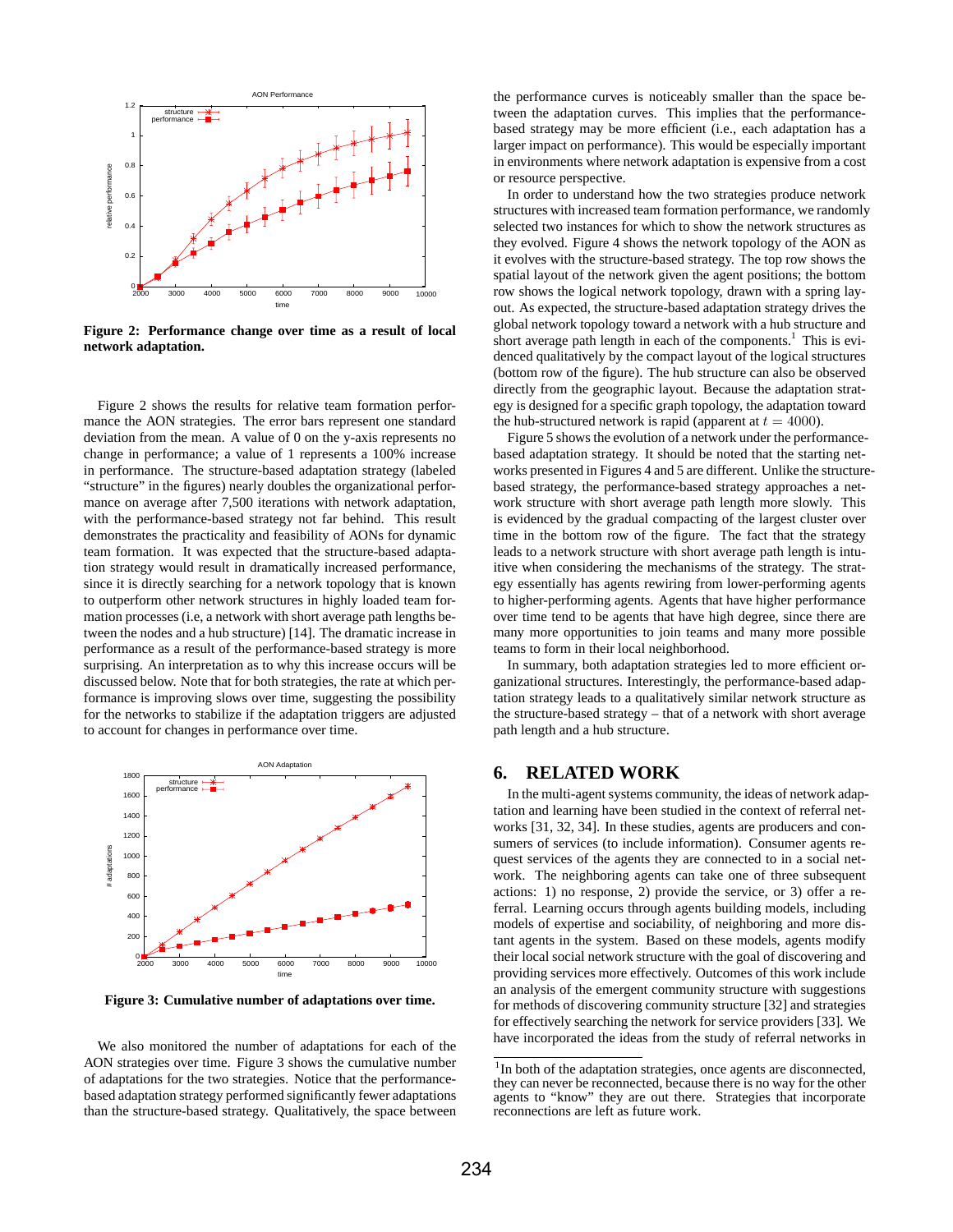

**Figure 2: Performance change over time as a result of local network adaptation.**

Figure 2 shows the results for relative team formation performance the AON strategies. The error bars represent one standard deviation from the mean. A value of 0 on the y-axis represents no change in performance; a value of 1 represents a 100% increase in performance. The structure-based adaptation strategy (labeled "structure" in the figures) nearly doubles the organizational performance on average after 7,500 iterations with network adaptation, with the performance-based strategy not far behind. This result demonstrates the practicality and feasibility of AONs for dynamic team formation. It was expected that the structure-based adaptation strategy would result in dramatically increased performance, since it is directly searching for a network topology that is known to outperform other network structures in highly loaded team formation processes (i.e, a network with short average path lengths between the nodes and a hub structure) [14]. The dramatic increase in performance as a result of the performance-based strategy is more surprising. An interpretation as to why this increase occurs will be discussed below. Note that for both strategies, the rate at which performance is improving slows over time, suggesting the possibility for the networks to stabilize if the adaptation triggers are adjusted to account for changes in performance over time.



**Figure 3: Cumulative number of adaptations over time.**

We also monitored the number of adaptations for each of the AON strategies over time. Figure 3 shows the cumulative number of adaptations for the two strategies. Notice that the performancebased adaptation strategy performed significantly fewer adaptations than the structure-based strategy. Qualitatively, the space between

the performance curves is noticeably smaller than the space between the adaptation curves. This implies that the performancebased strategy may be more efficient (i.e., each adaptation has a larger impact on performance). This would be especially important in environments where network adaptation is expensive from a cost or resource perspective.

In order to understand how the two strategies produce network structures with increased team formation performance, we randomly selected two instances for which to show the network structures as they evolved. Figure 4 shows the network topology of the AON as it evolves with the structure-based strategy. The top row shows the spatial layout of the network given the agent positions; the bottom row shows the logical network topology, drawn with a spring layout. As expected, the structure-based adaptation strategy drives the global network topology toward a network with a hub structure and short average path length in each of the components.<sup>1</sup> This is evidenced qualitatively by the compact layout of the logical structures (bottom row of the figure). The hub structure can also be observed directly from the geographic layout. Because the adaptation strategy is designed for a specific graph topology, the adaptation toward the hub-structured network is rapid (apparent at  $t = 4000$ ).

Figure 5 shows the evolution of a network under the performancebased adaptation strategy. It should be noted that the starting networks presented in Figures 4 and 5 are different. Unlike the structurebased strategy, the performance-based strategy approaches a network structure with short average path length more slowly. This is evidenced by the gradual compacting of the largest cluster over time in the bottom row of the figure. The fact that the strategy leads to a network structure with short average path length is intuitive when considering the mechanisms of the strategy. The strategy essentially has agents rewiring from lower-performing agents to higher-performing agents. Agents that have higher performance over time tend to be agents that have high degree, since there are many more opportunities to join teams and many more possible teams to form in their local neighborhood.

In summary, both adaptation strategies led to more efficient organizational structures. Interestingly, the performance-based adaptation strategy leads to a qualitatively similar network structure as the structure-based strategy – that of a network with short average path length and a hub structure.

# **6. RELATED WORK**

In the multi-agent systems community, the ideas of network adaptation and learning have been studied in the context of referral networks [31, 32, 34]. In these studies, agents are producers and consumers of services (to include information). Consumer agents request services of the agents they are connected to in a social network. The neighboring agents can take one of three subsequent actions: 1) no response, 2) provide the service, or 3) offer a referral. Learning occurs through agents building models, including models of expertise and sociability, of neighboring and more distant agents in the system. Based on these models, agents modify their local social network structure with the goal of discovering and providing services more effectively. Outcomes of this work include an analysis of the emergent community structure with suggestions for methods of discovering community structure [32] and strategies for effectively searching the network for service providers [33]. We have incorporated the ideas from the study of referral networks in

 $1$ In both of the adaptation strategies, once agents are disconnected, they can never be reconnected, because there is no way for the other agents to "know" they are out there. Strategies that incorporate reconnections are left as future work.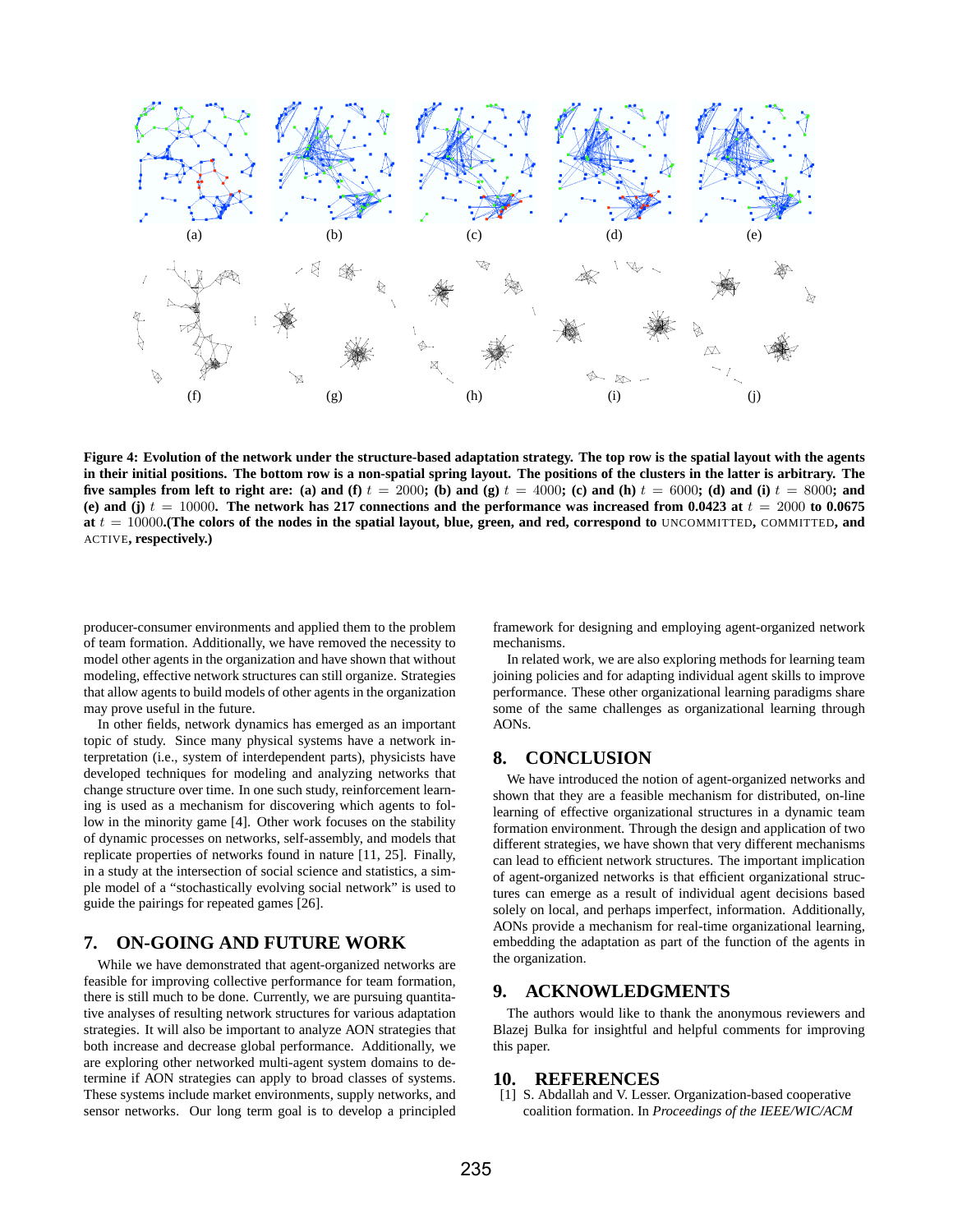

**Figure 4: Evolution of the network under the structure-based adaptation strategy. The top row is the spatial layout with the agents in their initial positions. The bottom row is a non-spatial spring layout. The positions of the clusters in the latter is arbitrary. The five samples from left to right are:** (a) and (f)  $t = 2000$ ; (b) and (g)  $t = 4000$ ; (c) and (h)  $t = 6000$ ; (d) and (i)  $t = 8000$ ; and (e) and (j)  $t = 10000$ . The network has 217 connections and the performance was increased from  $0.0423$  at  $t = 2000$  to  $0.0675$ **at** t = 10000**.(The colors of the nodes in the spatial layout, blue, green, and red, correspond to** UNCOMMITTED**,** COMMITTED**, and** ACTIVE**, respectively.)**

producer-consumer environments and applied them to the problem of team formation. Additionally, we have removed the necessity to model other agents in the organization and have shown that without modeling, effective network structures can still organize. Strategies that allow agents to build models of other agents in the organization may prove useful in the future.

In other fields, network dynamics has emerged as an important topic of study. Since many physical systems have a network interpretation (i.e., system of interdependent parts), physicists have developed techniques for modeling and analyzing networks that change structure over time. In one such study, reinforcement learning is used as a mechanism for discovering which agents to follow in the minority game [4]. Other work focuses on the stability of dynamic processes on networks, self-assembly, and models that replicate properties of networks found in nature [11, 25]. Finally, in a study at the intersection of social science and statistics, a simple model of a "stochastically evolving social network" is used to guide the pairings for repeated games [26].

### **7. ON-GOING AND FUTURE WORK**

While we have demonstrated that agent-organized networks are feasible for improving collective performance for team formation, there is still much to be done. Currently, we are pursuing quantitative analyses of resulting network structures for various adaptation strategies. It will also be important to analyze AON strategies that both increase and decrease global performance. Additionally, we are exploring other networked multi-agent system domains to determine if AON strategies can apply to broad classes of systems. These systems include market environments, supply networks, and sensor networks. Our long term goal is to develop a principled framework for designing and employing agent-organized network mechanisms.

In related work, we are also exploring methods for learning team joining policies and for adapting individual agent skills to improve performance. These other organizational learning paradigms share some of the same challenges as organizational learning through AONs.

# **8. CONCLUSION**

We have introduced the notion of agent-organized networks and shown that they are a feasible mechanism for distributed, on-line learning of effective organizational structures in a dynamic team formation environment. Through the design and application of two different strategies, we have shown that very different mechanisms can lead to efficient network structures. The important implication of agent-organized networks is that efficient organizational structures can emerge as a result of individual agent decisions based solely on local, and perhaps imperfect, information. Additionally, AONs provide a mechanism for real-time organizational learning, embedding the adaptation as part of the function of the agents in the organization.

# **9. ACKNOWLEDGMENTS**

The authors would like to thank the anonymous reviewers and Blazej Bulka for insightful and helpful comments for improving this paper.

#### **10. REFERENCES**

[1] S. Abdallah and V. Lesser. Organization-based cooperative coalition formation. In *Proceedings of the IEEE/WIC/ACM*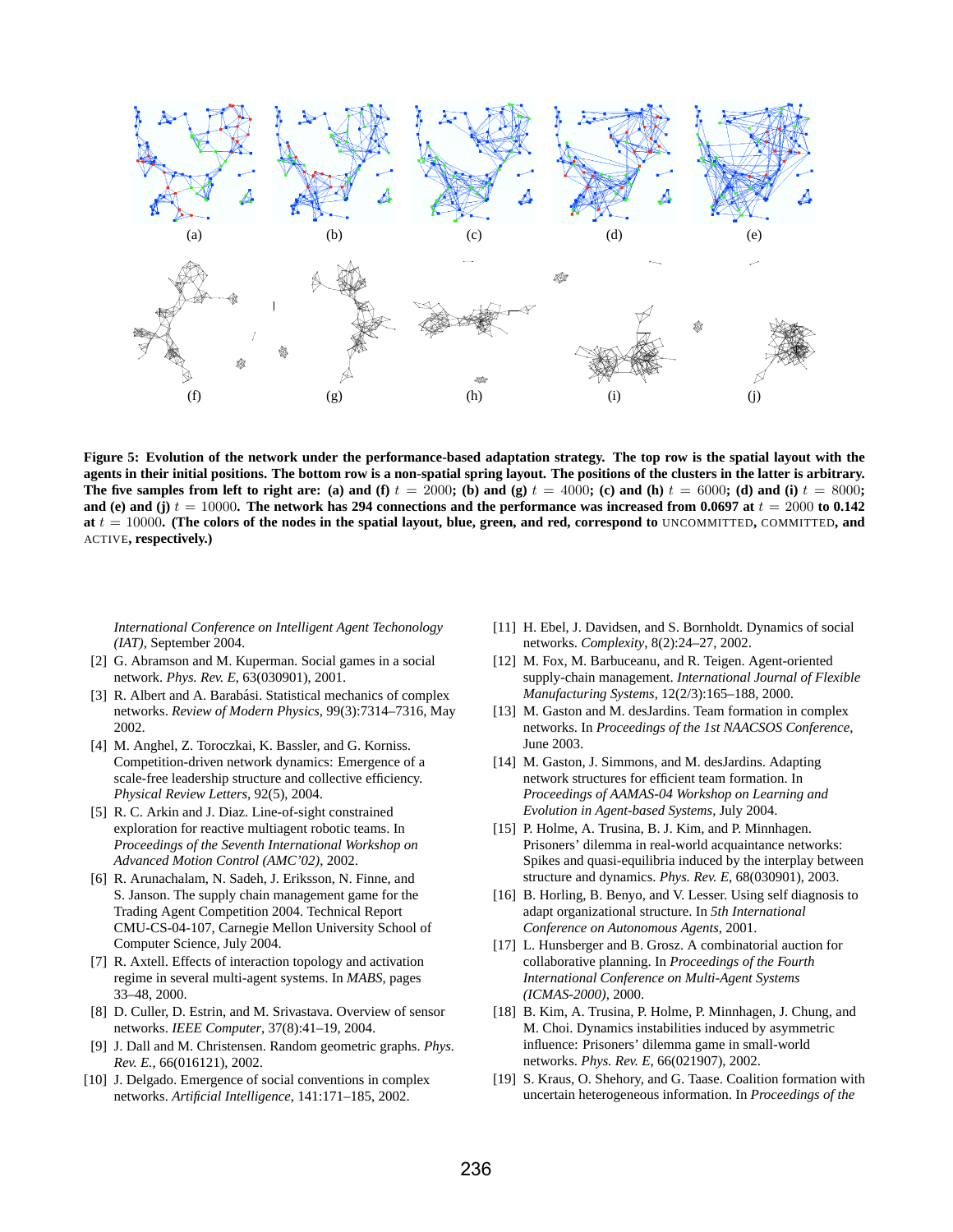

**Figure 5: Evolution of the network under the performance-based adaptation strategy. The top row is the spatial layout with the agents in their initial positions. The bottom row is a non-spatial spring layout. The positions of the clusters in the latter is arbitrary. The five samples from left to right are:** (a) and (f)  $t = 2000$ ; (b) and (g)  $t = 4000$ ; (c) and (h)  $t = 6000$ ; (d) and (i)  $t = 8000$ ; and (e) and (j)  $t = 10000$ . The network has 294 connections and the performance was increased from 0.0697 at  $t = 2000$  to 0.142 **at** t = 10000**. (The colors of the nodes in the spatial layout, blue, green, and red, correspond to** UNCOMMITTED**,** COMMITTED**, and** ACTIVE**, respectively.)**

*International Conference on Intelligent Agent Techonology (IAT)*, September 2004.

- [2] G. Abramson and M. Kuperman. Social games in a social network. *Phys. Rev. E*, 63(030901), 2001.
- [3] R. Albert and A. Barabási. Statistical mechanics of complex networks. *Review of Modern Physics*, 99(3):7314–7316, May 2002.
- [4] M. Anghel, Z. Toroczkai, K. Bassler, and G. Korniss. Competition-driven network dynamics: Emergence of a scale-free leadership structure and collective efficiency. *Physical Review Letters*, 92(5), 2004.
- [5] R. C. Arkin and J. Diaz. Line-of-sight constrained exploration for reactive multiagent robotic teams. In *Proceedings of the Seventh International Workshop on Advanced Motion Control (AMC'02)*, 2002.
- [6] R. Arunachalam, N. Sadeh, J. Eriksson, N. Finne, and S. Janson. The supply chain management game for the Trading Agent Competition 2004. Technical Report CMU-CS-04-107, Carnegie Mellon University School of Computer Science, July 2004.
- [7] R. Axtell. Effects of interaction topology and activation regime in several multi-agent systems. In *MABS*, pages 33–48, 2000.
- [8] D. Culler, D. Estrin, and M. Srivastava. Overview of sensor networks. *IEEE Computer*, 37(8):41–19, 2004.
- [9] J. Dall and M. Christensen. Random geometric graphs. *Phys. Rev. E.*, 66(016121), 2002.
- [10] J. Delgado. Emergence of social conventions in complex networks. *Artificial Intelligence*, 141:171–185, 2002.
- [11] H. Ebel, J. Davidsen, and S. Bornholdt. Dynamics of social networks. *Complexity*, 8(2):24–27, 2002.
- [12] M. Fox, M. Barbuceanu, and R. Teigen. Agent-oriented supply-chain management. *International Journal of Flexible Manufacturing Systems*, 12(2/3):165–188, 2000.
- [13] M. Gaston and M. desJardins. Team formation in complex networks. In *Proceedings of the 1st NAACSOS Conference*, June 2003.
- [14] M. Gaston, J. Simmons, and M. desJardins. Adapting network structures for efficient team formation. In *Proceedings of AAMAS-04 Workshop on Learning and Evolution in Agent-based Systems*, July 2004.
- [15] P. Holme, A. Trusina, B. J. Kim, and P. Minnhagen. Prisoners' dilemma in real-world acquaintance networks: Spikes and quasi-equilibria induced by the interplay between structure and dynamics. *Phys. Rev. E*, 68(030901), 2003.
- [16] B. Horling, B. Benyo, and V. Lesser. Using self diagnosis to adapt organizational structure. In *5th International Conference on Autonomous Agents*, 2001.
- [17] L. Hunsberger and B. Grosz. A combinatorial auction for collaborative planning. In *Proceedings of the Fourth International Conference on Multi-Agent Systems (ICMAS-2000)*, 2000.
- [18] B. Kim, A. Trusina, P. Holme, P. Minnhagen, J. Chung, and M. Choi. Dynamics instabilities induced by asymmetric influence: Prisoners' dilemma game in small-world networks. *Phys. Rev. E*, 66(021907), 2002.
- [19] S. Kraus, O. Shehory, and G. Taase. Coalition formation with uncertain heterogeneous information. In *Proceedings of the*